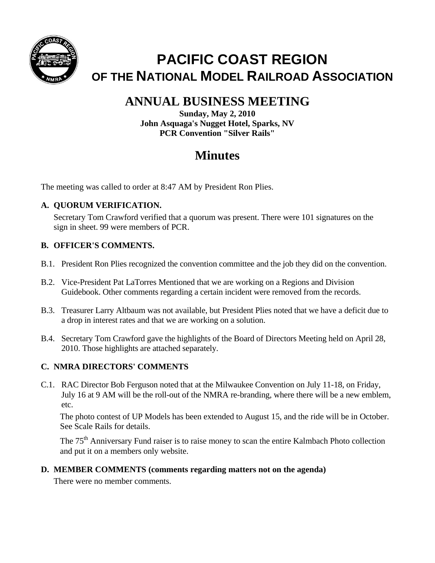

# **PACIFIC COAST REGION OF THE NATIONAL MODEL RAILROAD ASSOCIATION**

### **ANNUAL BUSINESS MEETING**

**Sunday, May 2, 2010 John Asquaga's Nugget Hotel, Sparks, NV PCR Convention "Silver Rails"** 

## **Minutes**

The meeting was called to order at 8:47 AM by President Ron Plies.

#### **A. QUORUM VERIFICATION.**

Secretary Tom Crawford verified that a quorum was present. There were 101 signatures on the sign in sheet. 99 were members of PCR.

#### **B. OFFICER'S COMMENTS.**

- B.1. President Ron Plies recognized the convention committee and the job they did on the convention.
- B.2. Vice-President Pat LaTorres Mentioned that we are working on a Regions and Division Guidebook. Other comments regarding a certain incident were removed from the records.
- B.3. Treasurer Larry Altbaum was not available, but President Plies noted that we have a deficit due to a drop in interest rates and that we are working on a solution.
- B.4. Secretary Tom Crawford gave the highlights of the Board of Directors Meeting held on April 28, 2010. Those highlights are attached separately.

#### **C. NMRA DIRECTORS' COMMENTS**

C.1. RAC Director Bob Ferguson noted that at the Milwaukee Convention on July 11-18, on Friday, July 16 at 9 AM will be the roll-out of the NMRA re-branding, where there will be a new emblem, etc.

The photo contest of UP Models has been extended to August 15, and the ride will be in October. See Scale Rails for details.

The 75<sup>th</sup> Anniversary Fund raiser is to raise money to scan the entire Kalmbach Photo collection and put it on a members only website.

#### **D. MEMBER COMMENTS (comments regarding matters not on the agenda)**

There were no member comments.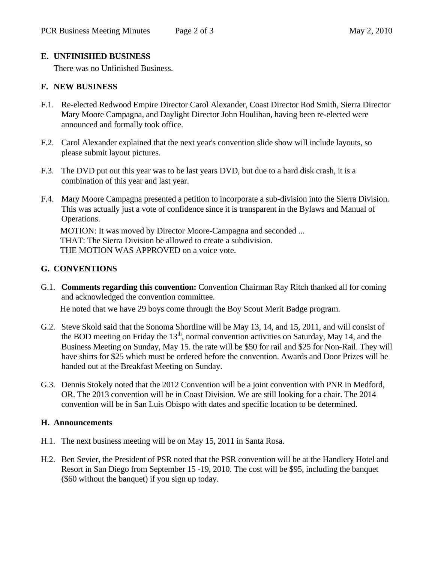#### **E. UNFINISHED BUSINESS**

There was no Unfinished Business.

#### **F. NEW BUSINESS**

- F.1. Re-elected Redwood Empire Director Carol Alexander, Coast Director Rod Smith, Sierra Director Mary Moore Campagna, and Daylight Director John Houlihan, having been re-elected were announced and formally took office.
- F.2. Carol Alexander explained that the next year's convention slide show will include layouts, so please submit layout pictures.
- F.3. The DVD put out this year was to be last years DVD, but due to a hard disk crash, it is a combination of this year and last year.
- F.4. Mary Moore Campagna presented a petition to incorporate a sub-division into the Sierra Division. This was actually just a vote of confidence since it is transparent in the Bylaws and Manual of Operations. MOTION: It was moved by Director Moore-Campagna and seconded ... THAT: The Sierra Division be allowed to create a subdivision. THE MOTION WAS APPROVED on a voice vote.

#### **G. CONVENTIONS**

G.1. **Comments regarding this convention:** Convention Chairman Ray Ritch thanked all for coming and acknowledged the convention committee.

He noted that we have 29 boys come through the Boy Scout Merit Badge program.

- G.2. Steve Skold said that the Sonoma Shortline will be May 13, 14, and 15, 2011, and will consist of the BOD meeting on Friday the  $13<sup>th</sup>$ , normal convention activities on Saturday, May 14, and the Business Meeting on Sunday, May 15. the rate will be \$50 for rail and \$25 for Non-Rail. They will have shirts for \$25 which must be ordered before the convention. Awards and Door Prizes will be handed out at the Breakfast Meeting on Sunday.
- G.3. Dennis Stokely noted that the 2012 Convention will be a joint convention with PNR in Medford, OR. The 2013 convention will be in Coast Division. We are still looking for a chair. The 2014 convention will be in San Luis Obispo with dates and specific location to be determined.

#### **H. Announcements**

- H.1. The next business meeting will be on May 15, 2011 in Santa Rosa.
- H.2. Ben Sevier, the President of PSR noted that the PSR convention will be at the Handlery Hotel and Resort in San Diego from September 15 -19, 2010. The cost will be \$95, including the banquet (\$60 without the banquet) if you sign up today.